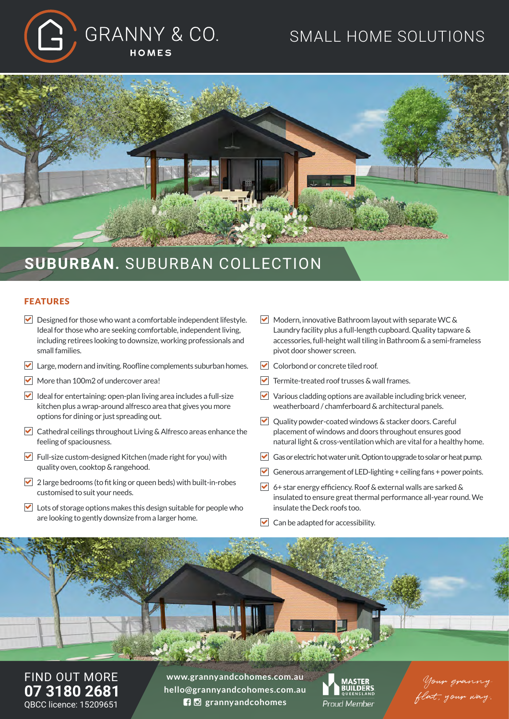# GRANNY & CO. HOMES

## SMALL HOME SOLUTIONS



### **SUBURBAN.** SUBURBAN COLLECTION

#### FEATURES

- $\triangleright$  Designed for those who want a comfortable independent lifestyle. Ideal for those who are seeking comfortable, independent living, including retirees looking to downsize, working professionals and small families.
- Large, modern and inviting. Roofline complements suburban homes.
- $\triangledown$  More than 100m2 of undercover area!
- $\blacktriangleright$  Ideal for entertaining: open-plan living area includes a full-size kitchen plus a wrap-around alfresco area that gives you more options for dining or just spreading out.
- Cathedral ceilings throughout Living & Alfresco areas enhance the feeling of spaciousness.
- Full-size custom-designed Kitchen (made right for you) with quality oven, cooktop & rangehood.
- $\triangledown$  2 large bedrooms (to fit king or queen beds) with built-in-robes customised to suit your needs.
- $\triangleright$  Lots of storage options makes this design suitable for people who are looking to gently downsize from a larger home.
- $\triangledown$  Modern, innovative Bathroom layout with separate WC & Laundry facility plus a full-length cupboard. Quality tapware & accessories, full-height wall tiling in Bathroom & a semi-frameless pivot door shower screen.
- **V** Colorbond or concrete tiled roof.
- $\triangledown$  Termite-treated roof trusses & wall frames.
- $\triangledown$  Various cladding options are available including brick veneer, weatherboard / chamferboard & architectural panels.
- $\vee$  Quality powder-coated windows & stacker doors. Careful placement of windows and doors throughout ensures good natural light & cross-ventilation which are vital for a healthy home.
- Gas or electric hot water unit. Option to upgrade to solar or heat pump.
- Generous arrangement of LED-lighting  $+$  ceiling fans  $+$  power points.
- $\triangledown$  6+ star energy efficiency. Roof & external walls are sarked & insulated to ensure great thermal performance all-year round. We insulate the Deck roofs too.
- $\triangleright$  Can be adapted for accessibility.

FIND OUT MORE **07 3180 2681** QBCC licence: 15209651

**www.grannyandcohomes.com.au hello@grannyandcohomes.com.au grannyandcohomes**